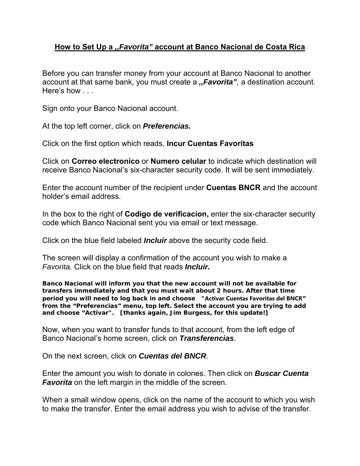## **How to Set Up a** *,,Favorita"* **account at Banco Nacional de Costa Rica**

Before you can transfer money from your account at Banco Nacional to another account at that same bank, you must create a *,,Favorita",* a destination account. Here's how . . .

Sign onto your Banco Nacional account.

At the top left corner, click on *Preferencias.* 

Click on the first option which reads, **Incur Cuentas Favoritas** 

Click on **Correo electronico** or **Numero celular** to indicate which destination will receive Banco Nacional's six-character security code. It will be sent immediately.

Enter the account number of the recipient under **Cuentas BNCR** and the account holder's email address.

In the box to the right of **Codigo de verificacion,** enter the six-character security code which Banco Nacional sent you via email or text message.

Click on the blue field labeled *Incluir* above the security code field.

The screen will display a confirmation of the account you wish to make a *Favorita.* Click on the blue field that reads *Incluir.* 

**Banco Nacional will inform you that the new account will not be available for transfers immediately and that you must wait about 2 hours. After that time period you will need to log back in and choose "Activar Cuentas Favoritas del BNCR" from the "Preferencias" menu, top left. Select the account you are trying to add and choose "Activar". [thanks again, Jim Burgess, for this update!]**

Now, when you want to transfer funds to that account, from the left edge of Banco Nacional's home screen, click on *Transferencias*.

On the next screen, click on *Cuentas del BNCR*.

Enter the amount you wish to donate in colones. Then click on *Buscar Cuenta Favorita* on the left margin in the middle of the screen.

When a small window opens, click on the name of the account to which you wish to make the transfer. Enter the email address you wish to advise of the transfer.